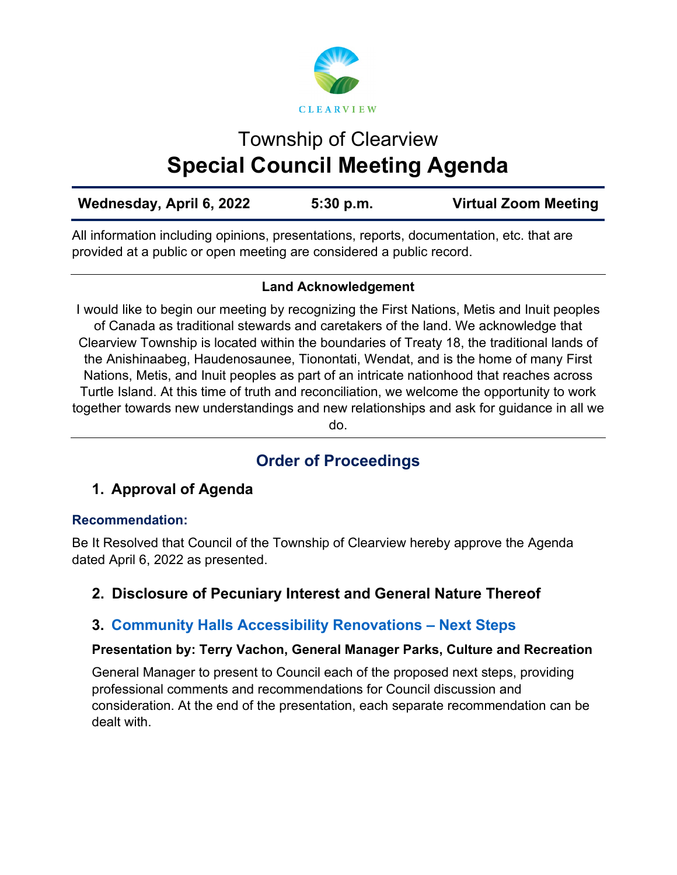

# Township of Clearview **Special Council Meeting Agenda**

| Wednesday, April 6, 2022 | 5:30 p.m. | <b>Virtual Zoom Meeting</b> |
|--------------------------|-----------|-----------------------------|
|--------------------------|-----------|-----------------------------|

All information including opinions, presentations, reports, documentation, etc. that are provided at a public or open meeting are considered a public record.

#### **Land Acknowledgement**

I would like to begin our meeting by recognizing the First Nations, Metis and Inuit peoples of Canada as traditional stewards and caretakers of the land. We acknowledge that Clearview Township is located within the boundaries of Treaty 18, the traditional lands of the Anishinaabeg, Haudenosaunee, Tionontati, Wendat, and is the home of many First Nations, Metis, and Inuit peoples as part of an intricate nationhood that reaches across Turtle Island. At this time of truth and reconciliation, we welcome the opportunity to work together towards new understandings and new relationships and ask for guidance in all we do.

## **Order of Proceedings**

## **1. Approval of Agenda**

#### **Recommendation:**

Be It Resolved that Council of the Township of Clearview hereby approve the Agenda dated April 6, 2022 as presented.

## **2. Disclosure of Pecuniary Interest and General Nature Thereof**

## **3. [Community Halls Accessibility Renovations – Next Steps](https://www.clearview.ca/sites/default/files/uploads/publications/3_community_halls_accessibility_renovations_-_next_steps.pdf)**

#### **Presentation by: Terry Vachon, General Manager Parks, Culture and Recreation**

General Manager to present to Council each of the proposed next steps, providing professional comments and recommendations for Council discussion and consideration. At the end of the presentation, each separate recommendation can be dealt with.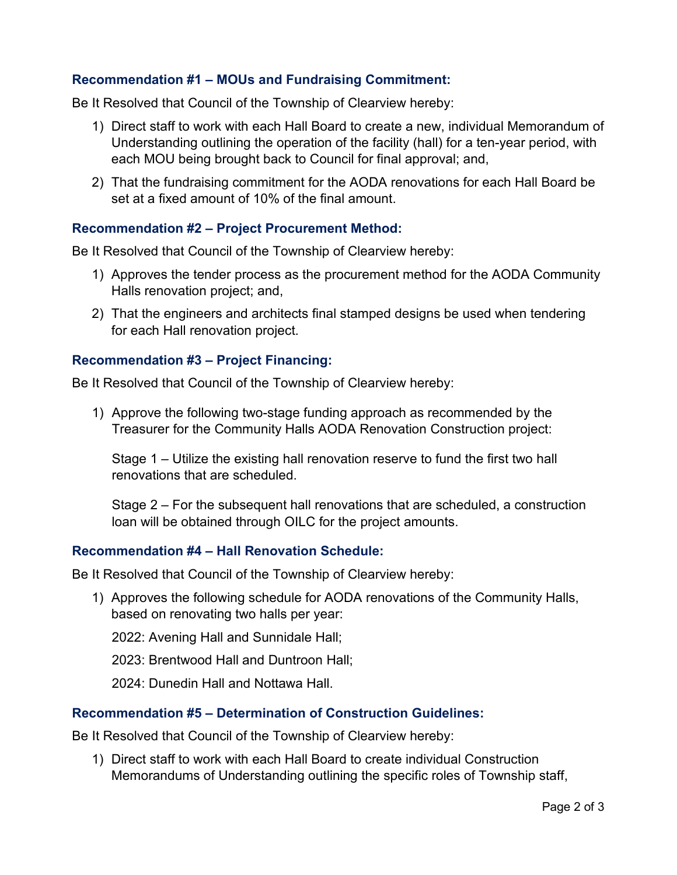#### **Recommendation #1 – MOUs and Fundraising Commitment:**

Be It Resolved that Council of the Township of Clearview hereby:

- 1) Direct staff to work with each Hall Board to create a new, individual Memorandum of Understanding outlining the operation of the facility (hall) for a ten-year period, with each MOU being brought back to Council for final approval; and,
- 2) That the fundraising commitment for the AODA renovations for each Hall Board be set at a fixed amount of 10% of the final amount.

#### **Recommendation #2 – Project Procurement Method:**

Be It Resolved that Council of the Township of Clearview hereby:

- 1) Approves the tender process as the procurement method for the AODA Community Halls renovation project; and,
- 2) That the engineers and architects final stamped designs be used when tendering for each Hall renovation project.

#### **Recommendation #3 – Project Financing:**

Be It Resolved that Council of the Township of Clearview hereby:

1) Approve the following two-stage funding approach as recommended by the Treasurer for the Community Halls AODA Renovation Construction project:

Stage 1 – Utilize the existing hall renovation reserve to fund the first two hall renovations that are scheduled.

Stage 2 – For the subsequent hall renovations that are scheduled, a construction loan will be obtained through OILC for the project amounts.

#### **Recommendation #4 – Hall Renovation Schedule:**

Be It Resolved that Council of the Township of Clearview hereby:

1) Approves the following schedule for AODA renovations of the Community Halls, based on renovating two halls per year:

2022: Avening Hall and Sunnidale Hall;

2023: Brentwood Hall and Duntroon Hall;

2024: Dunedin Hall and Nottawa Hall.

#### **Recommendation #5 – Determination of Construction Guidelines:**

Be It Resolved that Council of the Township of Clearview hereby:

1) Direct staff to work with each Hall Board to create individual Construction Memorandums of Understanding outlining the specific roles of Township staff,